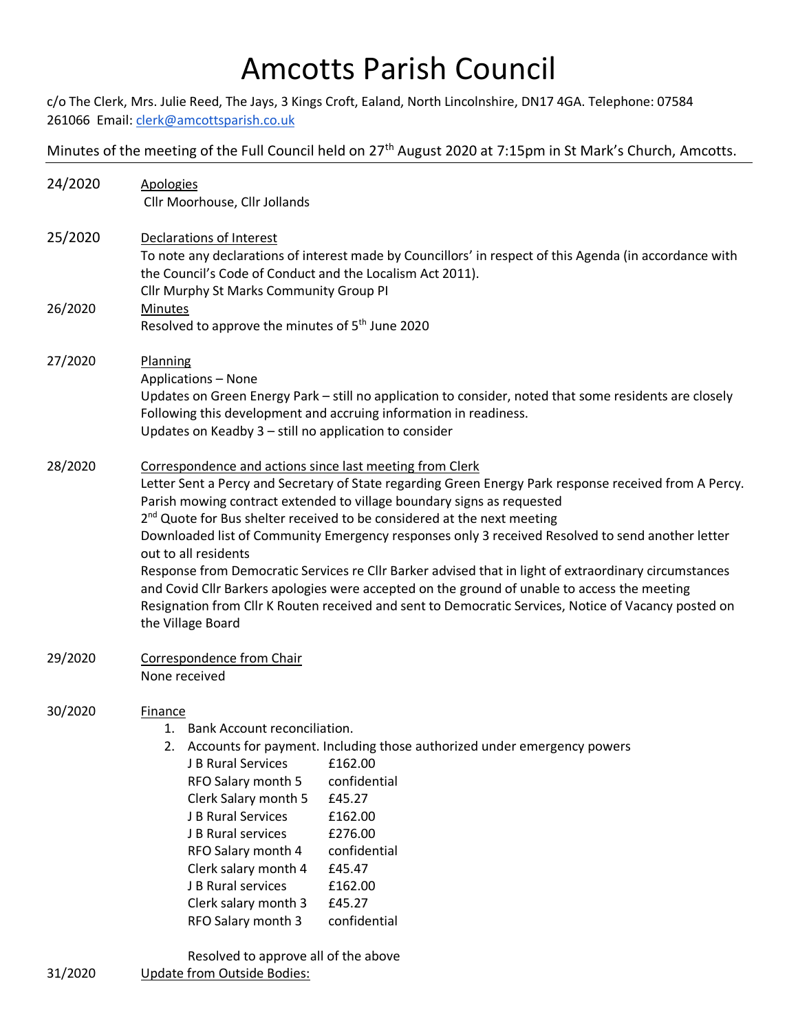## Amcotts Parish Council

c/o The Clerk, Mrs. Julie Reed, The Jays, 3 Kings Croft, Ealand, North Lincolnshire, DN17 4GA. Telephone: 07584 261066 Email[: clerk@amcottsparish.co.uk](mailto:clerk@amcottsparish.co.uk)

Minutes of the meeting of the Full Council held on 27<sup>th</sup> August 2020 at 7:15pm in St Mark's Church, Amcotts.

| <b>Apologies</b><br>Cllr Moorhouse, Cllr Jollands                                                                                                                                                                                                                                                                                                                                                                                                                                                                                                                                                                                                                                                                                                                                                     |
|-------------------------------------------------------------------------------------------------------------------------------------------------------------------------------------------------------------------------------------------------------------------------------------------------------------------------------------------------------------------------------------------------------------------------------------------------------------------------------------------------------------------------------------------------------------------------------------------------------------------------------------------------------------------------------------------------------------------------------------------------------------------------------------------------------|
| Declarations of Interest<br>To note any declarations of interest made by Councillors' in respect of this Agenda (in accordance with<br>the Council's Code of Conduct and the Localism Act 2011).<br>Cllr Murphy St Marks Community Group PI                                                                                                                                                                                                                                                                                                                                                                                                                                                                                                                                                           |
| <b>Minutes</b><br>Resolved to approve the minutes of 5 <sup>th</sup> June 2020                                                                                                                                                                                                                                                                                                                                                                                                                                                                                                                                                                                                                                                                                                                        |
| Planning<br><b>Applications - None</b><br>Updates on Green Energy Park - still no application to consider, noted that some residents are closely<br>Following this development and accruing information in readiness.<br>Updates on Keadby 3 - still no application to consider                                                                                                                                                                                                                                                                                                                                                                                                                                                                                                                       |
| Correspondence and actions since last meeting from Clerk<br>Letter Sent a Percy and Secretary of State regarding Green Energy Park response received from A Percy.<br>Parish mowing contract extended to village boundary signs as requested<br>2 <sup>nd</sup> Quote for Bus shelter received to be considered at the next meeting<br>Downloaded list of Community Emergency responses only 3 received Resolved to send another letter<br>out to all residents<br>Response from Democratic Services re Cllr Barker advised that in light of extraordinary circumstances<br>and Covid Cllr Barkers apologies were accepted on the ground of unable to access the meeting<br>Resignation from Cllr K Routen received and sent to Democratic Services, Notice of Vacancy posted on<br>the Village Board |
| Correspondence from Chair<br>None received                                                                                                                                                                                                                                                                                                                                                                                                                                                                                                                                                                                                                                                                                                                                                            |
| <b>Finance</b><br>1. Bank Account reconciliation.<br>2. Accounts for payment. Including those authorized under emergency powers<br>J B Rural Services<br>£162.00<br>confidential<br>RFO Salary month 5<br>Clerk Salary month 5<br>£45.27<br>J B Rural Services<br>£162.00<br>J B Rural services<br>£276.00<br>confidential<br>RFO Salary month 4<br>£45.47<br>Clerk salary month 4<br>J B Rural services<br>£162.00<br>Clerk salary month 3<br>£45.27<br>confidential<br>RFO Salary month 3<br>Resolved to approve all of the above                                                                                                                                                                                                                                                                   |
|                                                                                                                                                                                                                                                                                                                                                                                                                                                                                                                                                                                                                                                                                                                                                                                                       |

31/2020 Update from Outside Bodies: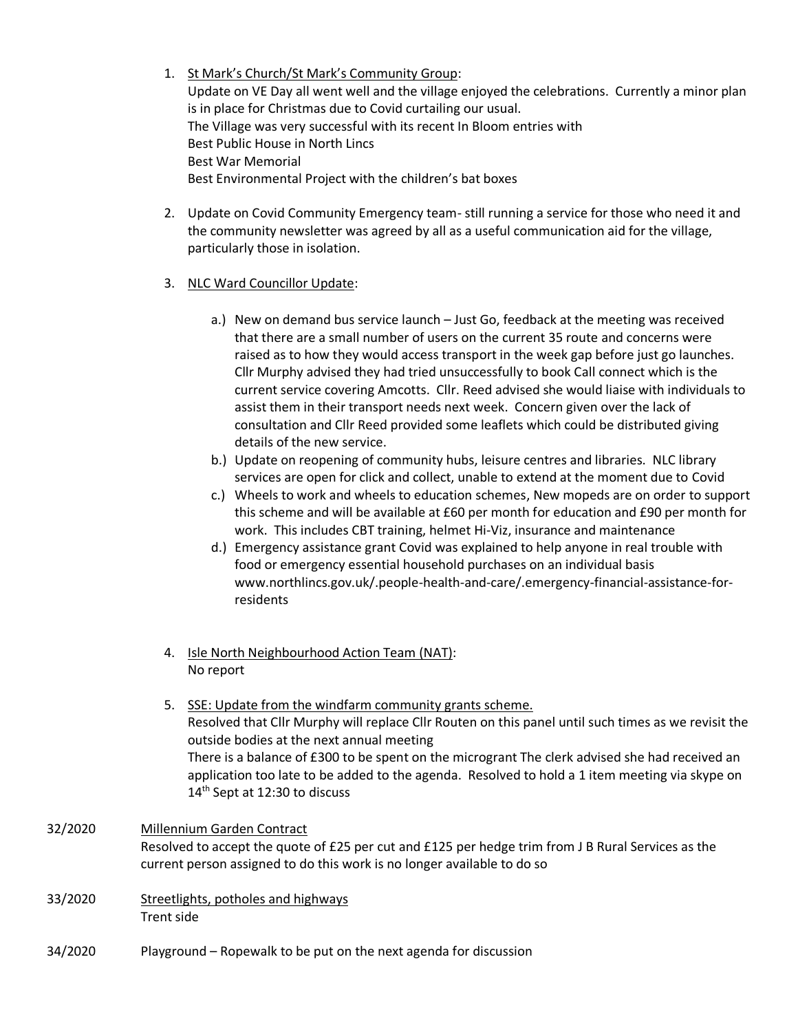- 1. St Mark's Church/St Mark's Community Group: Update on VE Day all went well and the village enjoyed the celebrations. Currently a minor plan is in place for Christmas due to Covid curtailing our usual. The Village was very successful with its recent In Bloom entries with Best Public House in North Lincs Best War Memorial Best Environmental Project with the children's bat boxes
- 2. Update on Covid Community Emergency team- still running a service for those who need it and the community newsletter was agreed by all as a useful communication aid for the village, particularly those in isolation.
- 3. NLC Ward Councillor Update:
	- a.) New on demand bus service launch Just Go, feedback at the meeting was received that there are a small number of users on the current 35 route and concerns were raised as to how they would access transport in the week gap before just go launches. Cllr Murphy advised they had tried unsuccessfully to book Call connect which is the current service covering Amcotts. Cllr. Reed advised she would liaise with individuals to assist them in their transport needs next week. Concern given over the lack of consultation and Cllr Reed provided some leaflets which could be distributed giving details of the new service.
	- b.) Update on reopening of community hubs, leisure centres and libraries. NLC library services are open for click and collect, unable to extend at the moment due to Covid
	- c.) Wheels to work and wheels to education schemes, New mopeds are on order to support this scheme and will be available at £60 per month for education and £90 per month for work. This includes CBT training, helmet Hi-Viz, insurance and maintenance
	- d.) Emergency assistance grant Covid was explained to help anyone in real trouble with food or emergency essential household purchases on an individual basis www.northlincs.gov.uk/.people-health-and-care/.emergency-financial-assistance-forresidents
- 4. Isle North Neighbourhood Action Team (NAT): No report
- 5. SSE: Update from the windfarm community grants scheme. Resolved that Cllr Murphy will replace Cllr Routen on this panel until such times as we revisit the outside bodies at the next annual meeting There is a balance of £300 to be spent on the microgrant The clerk advised she had received an application too late to be added to the agenda. Resolved to hold a 1 item meeting via skype on 14<sup>th</sup> Sept at 12:30 to discuss
- 32/2020 Millennium Garden Contract Resolved to accept the quote of £25 per cut and £125 per hedge trim from J B Rural Services as the current person assigned to do this work is no longer available to do so
- 33/2020 Streetlights, potholes and highways Trent side
- 34/2020 Playground Ropewalk to be put on the next agenda for discussion